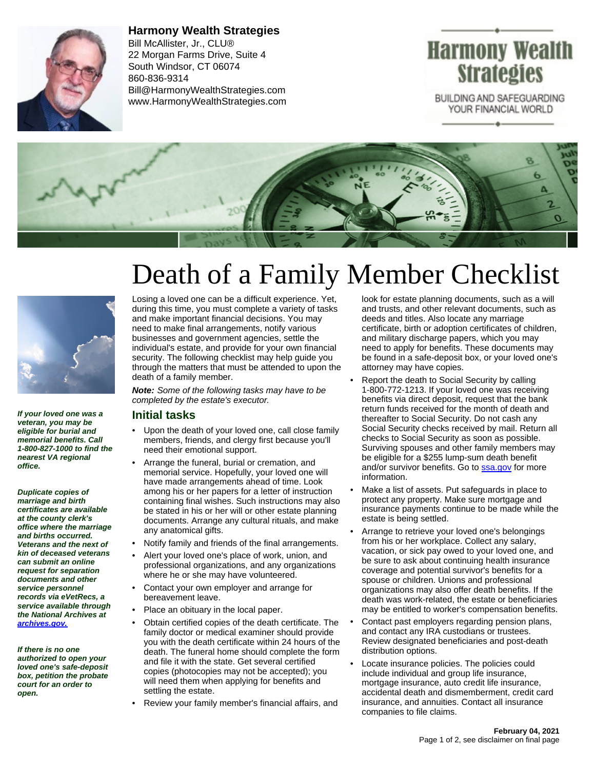

**Harmony Wealth Strategies** Bill McAllister, Jr., CLU® 22 Morgan Farms Drive, Suite 4 South Windsor, CT 06074 860-836-9314 Bill@HarmonyWealthStrategies.com www.HarmonyWealthStrategies.com

## Harmony Wealth **Strategies**

BUILDING AND SAFEGUARDING YOUR FINANCIAL WORLD





**If your loved one was a veteran, you may be eligible for burial and memorial benefits. Call 1-800-827-1000 to find the nearest VA regional office.**

**Duplicate copies of marriage and birth certificates are available at the county clerk's office where the marriage and births occurred. Veterans and the next of kin of deceased veterans can submit an online request for separation documents and other service personnel records via eVetRecs, a service available through the National Archives at [archives.gov.](http://www.archives.gov)**

**If there is no one authorized to open your loved one's safe-deposit box, petition the probate court for an order to open.**

# Death of a Family Member Checklist

Losing a loved one can be a difficult experience. Yet, during this time, you must complete a variety of tasks and make important financial decisions. You may need to make final arrangements, notify various businesses and government agencies, settle the individual's estate, and provide for your own financial security. The following checklist may help guide you through the matters that must be attended to upon the death of a family member.

**Note:** Some of the following tasks may have to be completed by the estate's executor.

#### **Initial tasks**

- Upon the death of your loved one, call close family members, friends, and clergy first because you'll need their emotional support.
- Arrange the funeral, burial or cremation, and memorial service. Hopefully, your loved one will have made arrangements ahead of time. Look among his or her papers for a letter of instruction containing final wishes. Such instructions may also be stated in his or her will or other estate planning documents. Arrange any cultural rituals, and make any anatomical gifts.
- Notify family and friends of the final arrangements.
- Alert your loved one's place of work, union, and professional organizations, and any organizations where he or she may have volunteered.
- Contact your own employer and arrange for bereavement leave.
- Place an obituary in the local paper.
- Obtain certified copies of the death certificate. The family doctor or medical examiner should provide you with the death certificate within 24 hours of the death. The funeral home should complete the form and file it with the state. Get several certified copies (photocopies may not be accepted); you will need them when applying for benefits and settling the estate.
- Review your family member's financial affairs, and

look for estate planning documents, such as a will and trusts, and other relevant documents, such as deeds and titles. Also locate any marriage certificate, birth or adoption certificates of children, and military discharge papers, which you may need to apply for benefits. These documents may be found in a safe-deposit box, or your loved one's attorney may have copies.

- Report the death to Social Security by calling 1-800-772-1213. If your loved one was receiving benefits via direct deposit, request that the bank return funds received for the month of death and thereafter to Social Security. Do not cash any Social Security checks received by mail. Return all checks to Social Security as soon as possible. Surviving spouses and other family members may be eligible for a \$255 lump-sum death benefit and/or survivor benefits. Go to **[ssa.gov](http://www.ssa.gov)** for more information.
- Make a list of assets. Put safeguards in place to protect any property. Make sure mortgage and insurance payments continue to be made while the estate is being settled.
- Arrange to retrieve your loved one's belongings from his or her workplace. Collect any salary, vacation, or sick pay owed to your loved one, and be sure to ask about continuing health insurance coverage and potential survivor's benefits for a spouse or children. Unions and professional organizations may also offer death benefits. If the death was work-related, the estate or beneficiaries may be entitled to worker's compensation benefits.
- Contact past employers regarding pension plans, and contact any IRA custodians or trustees. Review designated beneficiaries and post-death distribution options.
- Locate insurance policies. The policies could include individual and group life insurance, mortgage insurance, auto credit life insurance, accidental death and dismemberment, credit card insurance, and annuities. Contact all insurance companies to file claims.